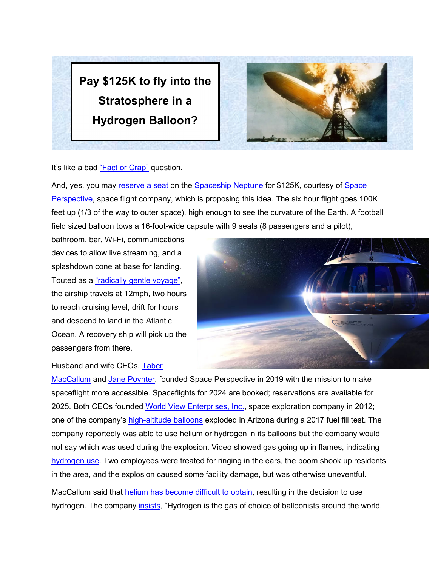



It's like a bad ["Fact or Crap"](https://boardgamegeek.com/boardgame/3990/fact-or-crap) question.

And, yes, you may [reserve a seat](https://www.spaceperspective.com/bookyourspaceflight) on the [Spaceship Neptune](https://www.spaceperspective.com/spaceship-neptune) for \$125K, courtesy of [Space](https://www.linkedin.com/company/space-perspective/)  [Perspective,](https://www.linkedin.com/company/space-perspective/) space flight company, which is proposing this idea. The six hour flight goes 100K feet up (1/3 of the way to outer space), high enough to see the curvature of the Earth. A football field sized balloon tows a 16-foot-wide capsule with 9 seats (8 passengers and a pilot),

bathroom, bar, Wi-Fi, communications devices to allow live streaming, and a splashdown cone at base for landing. Touted as a ["radically gentle voyage",](https://www.prnewswire.com/in/news-releases/the-world-s-first-luxury-spaceflight-experience-from-pioneering-space-perspective-reimagines-the-thrill-of-space-exploration-894043524.html) the airship travels at 12mph, two hours to reach cruising level, drift for hours and descend to land in the Atlantic Ocean. A recovery ship will pick up the passengers from there.



Husband and wife CEOs, [Taber](https://www.linkedin.com/in/tabermaccallum/) 

[MacCallum](https://www.linkedin.com/in/tabermaccallum/) and [Jane Poynter,](https://www.linkedin.com/in/jane-poynter/) founded Space Perspective in 2019 with the mission to make spaceflight more accessible. Spaceflights for 2024 are booked; reservations are available for 2025. Both CEOs founded [World View Enterprises, Inc.,](https://en.wikipedia.org/wiki/World_View_Enterprises#cite_note-spaceref20171219-22) space exploration company in 2012; one of the company's [high-altitude balloons](https://www.kgun9.com/news/local-news/explosion-reported-at-world-view) exploded in Arizona during a 2017 fuel fill test. The company reportedly was able to use helium or hydrogen in its balloons but the company would not say which was used during the explosion. Video showed gas going up in flames, indicating [hydrogen use.](https://www.geekwire.com/2017/world-view-balloon-boom/) Two employees were treated for ringing in the ears, the boom shook up residents in the area, and the explosion caused some facility damage, but was otherwise uneventful.

MacCallum said that [helium has become difficult to obtain,](https://www.space.com/space-perspective-stratosphere-balloon-tourism-flights.html) resulting in the decision to use hydrogen. The company *insists*, "Hydrogen is the gas of choice of balloonists around the world.